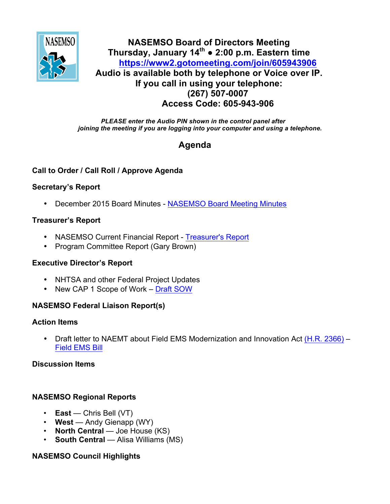

## **NASEMSO Board of Directors Meeting Thursday, January 14th ● 2:00 p.m. Eastern time <https://www2.gotomeeting.com/join/605943906> Audio is available both by telephone or Voice over IP. If you call in using your telephone: (267) 507-0007 Access Code: 605-943-906**

*PLEASE enter the Audio PIN shown in the control panel after joining the meeting if you are logging into your computer and using a telephone.*

# **Agenda**

## **Call to Order / Call Roll / Approve Agenda**

## **Secretary's Report**

• December 2015 Board Minutes - [NASEMSO Board Meeting Minutes](https://www.nasemso.org/Members/Board/documents/NASEMSO-Board-Minutes-15Dec2015.pdf)

## **Treasurer's Report**

- NASEMSO Current Financial Report [Treasurer's Report](https://www.nasemso.org/Members/Board/documents/NASEMSO-SOA-12-31-2015.xlsx)
- Program Committee Report (Gary Brown)

#### **Executive Director's Report**

- NHTSA and other Federal Project Updates
- New CAP 1 Scope of Work [Draft SOW](https://www.nasemso.org/Members/Board/documents/NASEMSO-Scope-of-Work-DRAFT.pdf)

## **NASEMSO Federal Liaison Report(s)**

#### **Action Items**

• Draft letter to NAEMT about Field EMS Modernization and Innovation Act [\(H.R. 2366\)](https://www.congress.gov/bill/114th-congress/house-bill/2366?q=%7b%22search%22%3A%5b%22%5C%22hr2366%5C%22%22%5d%7d) – [Field EMS Bill](https://www.nasemso.org/Members/Board/documents/Field-EMS-Bill.pdf)

## **Discussion Items**

## **NASEMSO Regional Reports**

- **East** Chris Bell (VT)
- **West** Andy Gienapp (WY)
- **North Central** Joe House (KS)
- **South Central** Alisa Williams (MS)

## **NASEMSO Council Highlights**